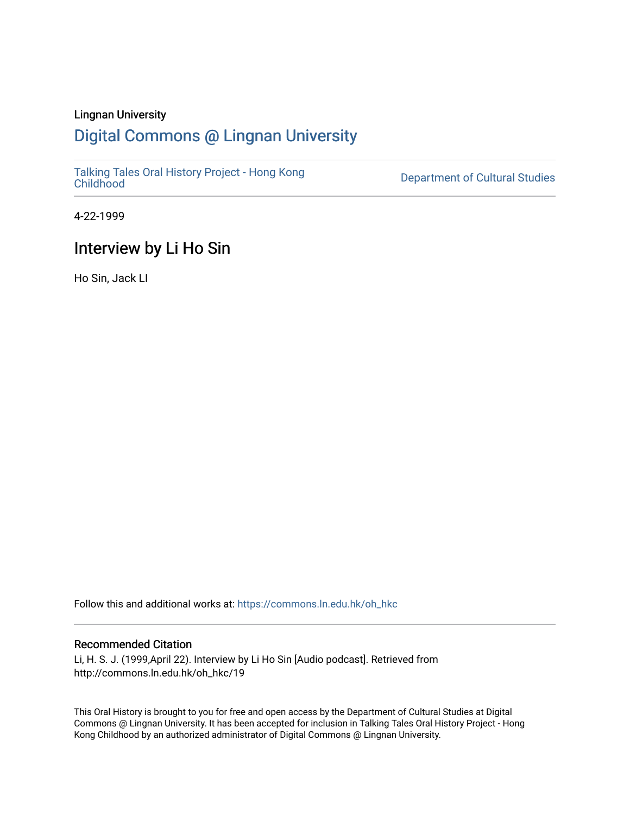#### Lingnan University

## [Digital Commons @ Lingnan University](https://commons.ln.edu.hk/)

[Talking Tales Oral History Project - Hong Kong](https://commons.ln.edu.hk/oh_hkc)

Department of Cultural Studies

4-22-1999

## Interview by Li Ho Sin

Ho Sin, Jack LI

Follow this and additional works at: [https://commons.ln.edu.hk/oh\\_hkc](https://commons.ln.edu.hk/oh_hkc?utm_source=commons.ln.edu.hk%2Foh_hkc%2F19&utm_medium=PDF&utm_campaign=PDFCoverPages) 

#### Recommended Citation

Li, H. S. J. (1999,April 22). Interview by Li Ho Sin [Audio podcast]. Retrieved from http://commons.ln.edu.hk/oh\_hkc/19

This Oral History is brought to you for free and open access by the Department of Cultural Studies at Digital Commons @ Lingnan University. It has been accepted for inclusion in Talking Tales Oral History Project - Hong Kong Childhood by an authorized administrator of Digital Commons @ Lingnan University.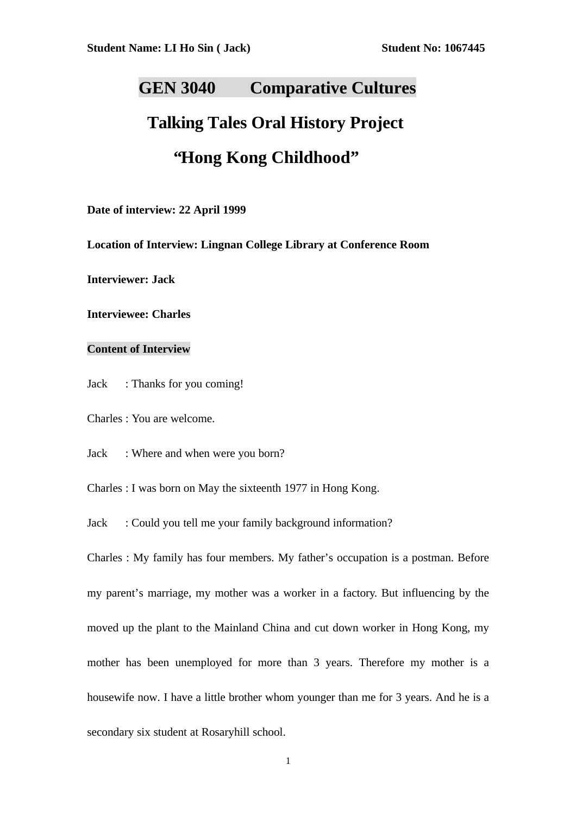## **GEN 3040 Comparative Cultures**

# **Talking Tales Oral History Project "Hong Kong Childhood"**

**Date of interview: 22 April 1999**

**Location of Interview: Lingnan College Library at Conference Room**

**Interviewer: Jack**

**Interviewee: Charles**

#### **Content of Interview**

Jack : Thanks for you coming!

Charles : You are welcome.

Jack : Where and when were you born?

Charles : I was born on May the sixteenth 1977 in Hong Kong.

Jack : Could you tell me your family background information?

Charles : My family has four members. My father's occupation is a postman. Before my parent's marriage, my mother was a worker in a factory. But influencing by the moved up the plant to the Mainland China and cut down worker in Hong Kong, my mother has been unemployed for more than 3 years. Therefore my mother is a housewife now. I have a little brother whom younger than me for 3 years. And he is a secondary six student at Rosaryhill school.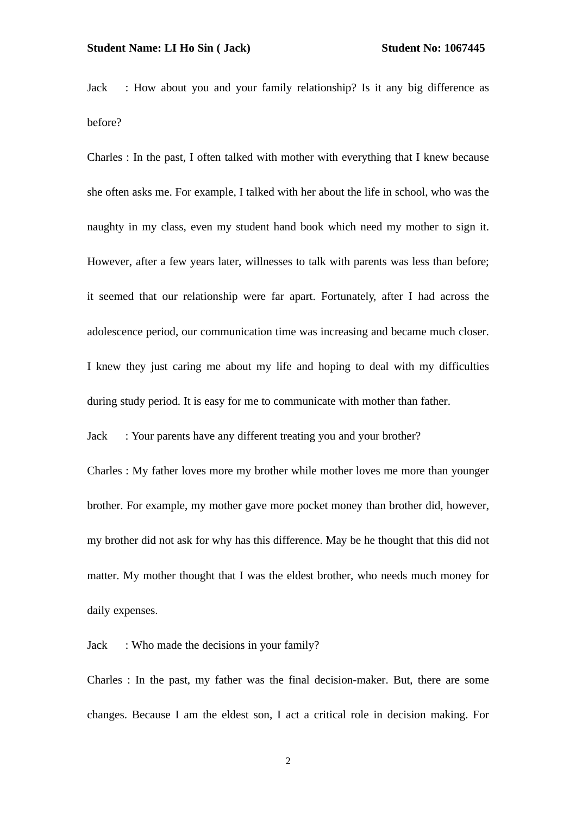Jack : How about you and your family relationship? Is it any big difference as before?

Charles : In the past, I often talked with mother with everything that I knew because she often asks me. For example, I talked with her about the life in school, who was the naughty in my class, even my student hand book which need my mother to sign it. However, after a few years later, willnesses to talk with parents was less than before; it seemed that our relationship were far apart. Fortunately, after I had across the adolescence period, our communication time was increasing and became much closer. I knew they just caring me about my life and hoping to deal with my difficulties during study period. It is easy for me to communicate with mother than father.

Jack : Your parents have any different treating you and your brother?

Charles : My father loves more my brother while mother loves me more than younger brother. For example, my mother gave more pocket money than brother did, however, my brother did not ask for why has this difference. May be he thought that this did not matter. My mother thought that I was the eldest brother, who needs much money for daily expenses.

Jack : Who made the decisions in your family?

Charles : In the past, my father was the final decision-maker. But, there are some changes. Because I am the eldest son, I act a critical role in decision making. For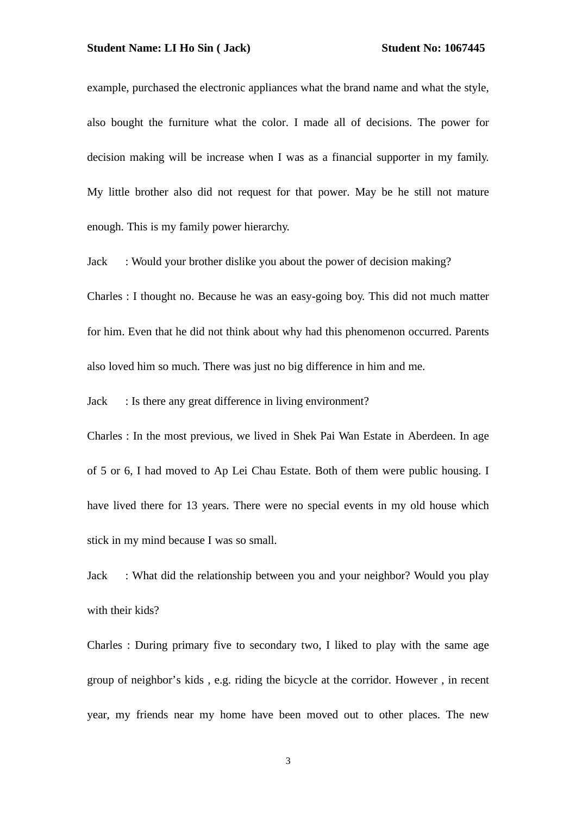example, purchased the electronic appliances what the brand name and what the style, also bought the furniture what the color. I made all of decisions. The power for decision making will be increase when I was as a financial supporter in my family. My little brother also did not request for that power. May be he still not mature enough. This is my family power hierarchy.

Jack : Would your brother dislike you about the power of decision making?

Charles : I thought no. Because he was an easy-going boy. This did not much matter for him. Even that he did not think about why had this phenomenon occurred. Parents also loved him so much. There was just no big difference in him and me.

Jack : Is there any great difference in living environment?

Charles : In the most previous, we lived in Shek Pai Wan Estate in Aberdeen. In age of 5 or 6, I had moved to Ap Lei Chau Estate. Both of them were public housing. I have lived there for 13 years. There were no special events in my old house which stick in my mind because I was so small.

Jack : What did the relationship between you and your neighbor? Would you play with their kids?

Charles : During primary five to secondary two, I liked to play with the same age group of neighbor's kids , e.g. riding the bicycle at the corridor. However , in recent year, my friends near my home have been moved out to other places. The new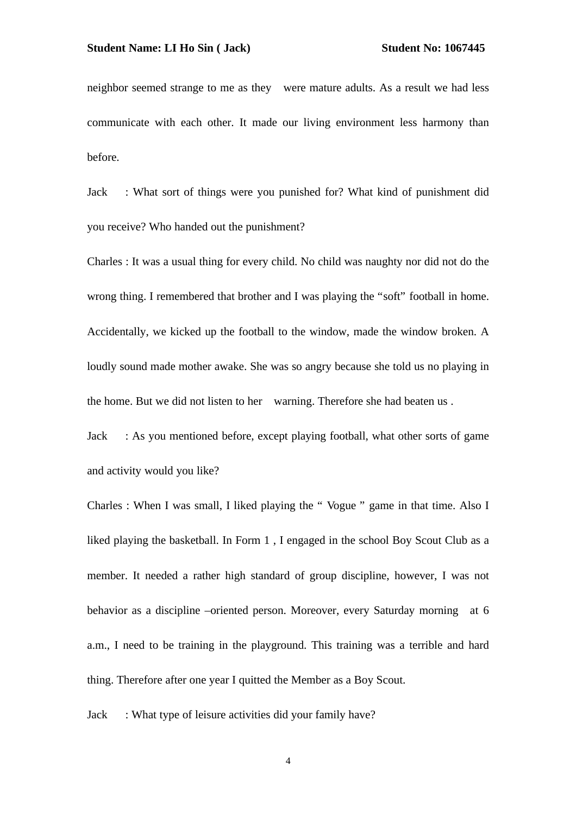neighbor seemed strange to me as they were mature adults. As a result we had less communicate with each other. It made our living environment less harmony than before.

Jack : What sort of things were you punished for? What kind of punishment did you receive? Who handed out the punishment?

Charles : It was a usual thing for every child. No child was naughty nor did not do the wrong thing. I remembered that brother and I was playing the "soft" football in home. Accidentally, we kicked up the football to the window, made the window broken. A loudly sound made mother awake. She was so angry because she told us no playing in the home. But we did not listen to her warning. Therefore she had beaten us .

Jack : As you mentioned before, except playing football, what other sorts of game and activity would you like?

Charles : When I was small, I liked playing the " Vogue " game in that time. Also I liked playing the basketball. In Form 1 , I engaged in the school Boy Scout Club as a member. It needed a rather high standard of group discipline, however, I was not behavior as a discipline –oriented person. Moreover, every Saturday morning at 6 a.m., I need to be training in the playground. This training was a terrible and hard thing. Therefore after one year I quitted the Member as a Boy Scout.

Jack : What type of leisure activities did your family have?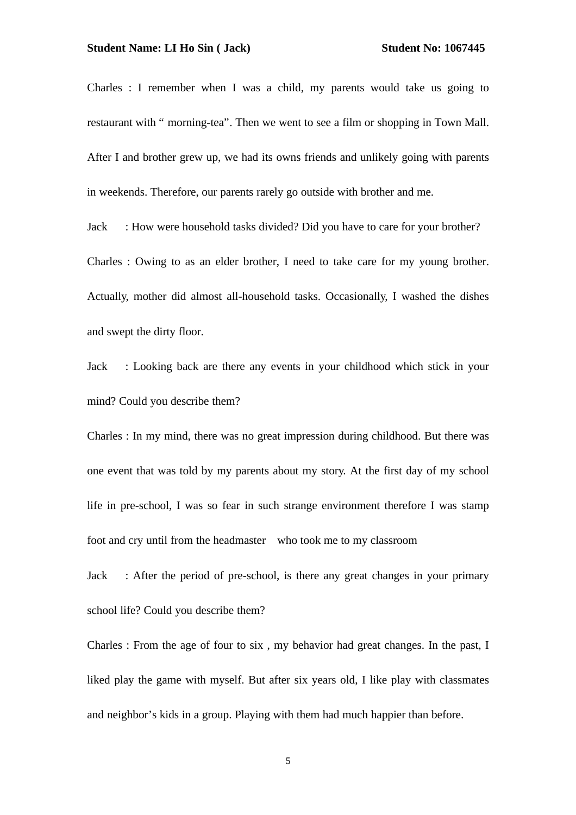Charles : I remember when I was a child, my parents would take us going to restaurant with " morning-tea". Then we went to see a film or shopping in Town Mall. After I and brother grew up, we had its owns friends and unlikely going with parents in weekends. Therefore, our parents rarely go outside with brother and me.

Jack : How were household tasks divided? Did you have to care for your brother? Charles : Owing to as an elder brother, I need to take care for my young brother. Actually, mother did almost all-household tasks. Occasionally, I washed the dishes and swept the dirty floor.

Jack : Looking back are there any events in your childhood which stick in your mind? Could you describe them?

Charles : In my mind, there was no great impression during childhood. But there was one event that was told by my parents about my story. At the first day of my school life in pre-school, I was so fear in such strange environment therefore I was stamp foot and cry until from the headmaster who took me to my classroom

Jack : After the period of pre-school, is there any great changes in your primary school life? Could you describe them?

Charles : From the age of four to six , my behavior had great changes. In the past, I liked play the game with myself. But after six years old, I like play with classmates and neighbor's kids in a group. Playing with them had much happier than before.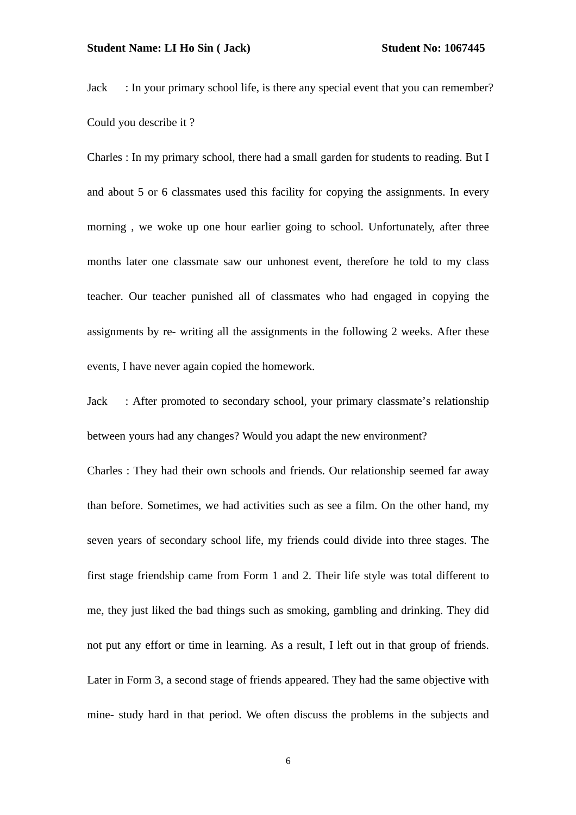Jack : In your primary school life, is there any special event that you can remember? Could you describe it ?

Charles : In my primary school, there had a small garden for students to reading. But I and about 5 or 6 classmates used this facility for copying the assignments. In every morning , we woke up one hour earlier going to school. Unfortunately, after three months later one classmate saw our unhonest event, therefore he told to my class teacher. Our teacher punished all of classmates who had engaged in copying the assignments by re- writing all the assignments in the following 2 weeks. After these events, I have never again copied the homework.

Jack : After promoted to secondary school, your primary classmate's relationship between yours had any changes? Would you adapt the new environment?

Charles : They had their own schools and friends. Our relationship seemed far away than before. Sometimes, we had activities such as see a film. On the other hand, my seven years of secondary school life, my friends could divide into three stages. The first stage friendship came from Form 1 and 2. Their life style was total different to me, they just liked the bad things such as smoking, gambling and drinking. They did not put any effort or time in learning. As a result, I left out in that group of friends. Later in Form 3, a second stage of friends appeared. They had the same objective with mine- study hard in that period. We often discuss the problems in the subjects and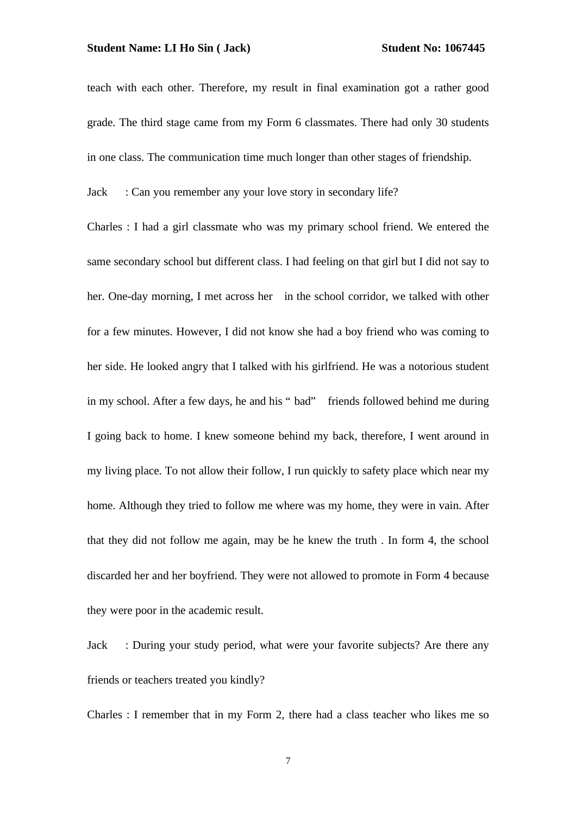teach with each other. Therefore, my result in final examination got a rather good grade. The third stage came from my Form 6 classmates. There had only 30 students in one class. The communication time much longer than other stages of friendship.

Jack : Can you remember any your love story in secondary life?

Charles : I had a girl classmate who was my primary school friend. We entered the same secondary school but different class. I had feeling on that girl but I did not say to her. One-day morning, I met across her in the school corridor, we talked with other for a few minutes. However, I did not know she had a boy friend who was coming to her side. He looked angry that I talked with his girlfriend. He was a notorious student in my school. After a few days, he and his " bad" friends followed behind me during I going back to home. I knew someone behind my back, therefore, I went around in my living place. To not allow their follow, I run quickly to safety place which near my home. Although they tried to follow me where was my home, they were in vain. After that they did not follow me again, may be he knew the truth . In form 4, the school discarded her and her boyfriend. They were not allowed to promote in Form 4 because they were poor in the academic result.

Jack : During your study period, what were your favorite subjects? Are there any friends or teachers treated you kindly?

Charles : I remember that in my Form 2, there had a class teacher who likes me so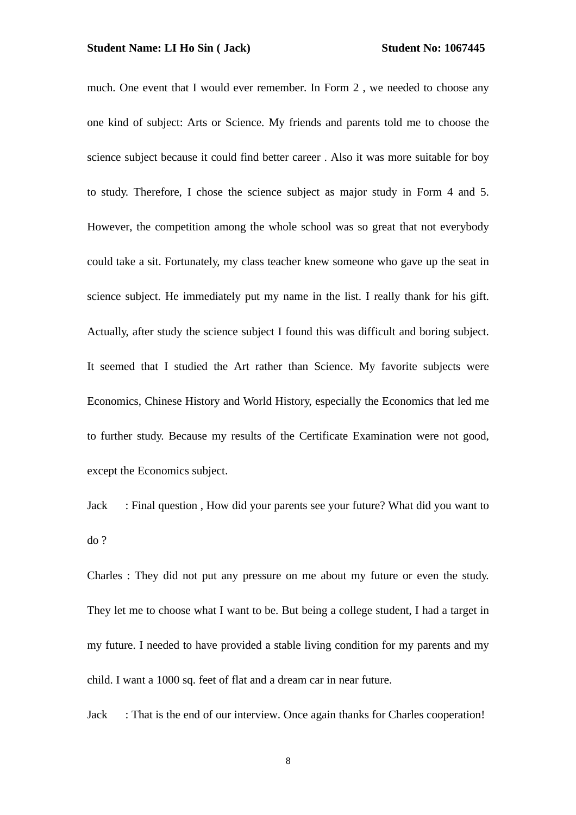much. One event that I would ever remember. In Form 2 , we needed to choose any one kind of subject: Arts or Science. My friends and parents told me to choose the science subject because it could find better career . Also it was more suitable for boy to study. Therefore, I chose the science subject as major study in Form 4 and 5. However, the competition among the whole school was so great that not everybody could take a sit. Fortunately, my class teacher knew someone who gave up the seat in science subject. He immediately put my name in the list. I really thank for his gift. Actually, after study the science subject I found this was difficult and boring subject. It seemed that I studied the Art rather than Science. My favorite subjects were Economics, Chinese History and World History, especially the Economics that led me to further study. Because my results of the Certificate Examination were not good, except the Economics subject.

Jack : Final question , How did your parents see your future? What did you want to do ?

Charles : They did not put any pressure on me about my future or even the study. They let me to choose what I want to be. But being a college student, I had a target in my future. I needed to have provided a stable living condition for my parents and my child. I want a 1000 sq. feet of flat and a dream car in near future.

Jack : That is the end of our interview. Once again thanks for Charles cooperation!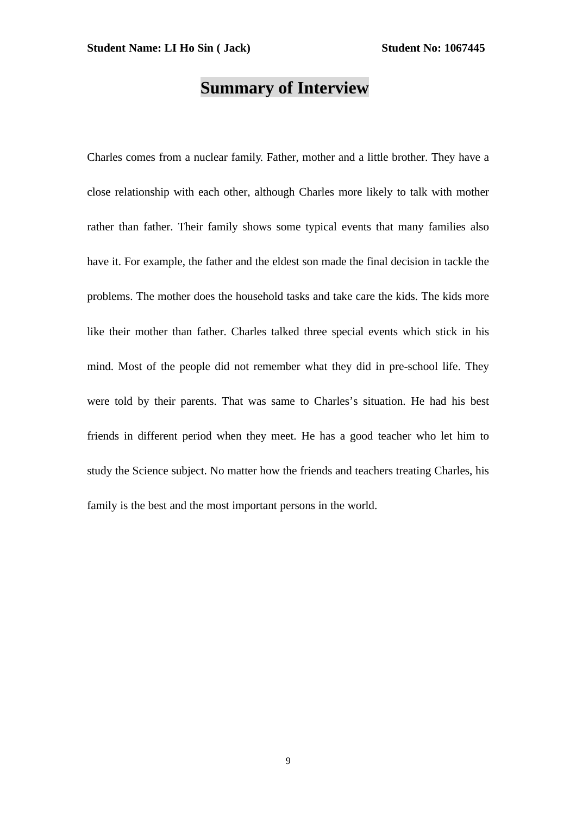## **Summary of Interview**

Charles comes from a nuclear family. Father, mother and a little brother. They have a close relationship with each other, although Charles more likely to talk with mother rather than father. Their family shows some typical events that many families also have it. For example, the father and the eldest son made the final decision in tackle the problems. The mother does the household tasks and take care the kids. The kids more like their mother than father. Charles talked three special events which stick in his mind. Most of the people did not remember what they did in pre-school life. They were told by their parents. That was same to Charles's situation. He had his best friends in different period when they meet. He has a good teacher who let him to study the Science subject. No matter how the friends and teachers treating Charles, his family is the best and the most important persons in the world.